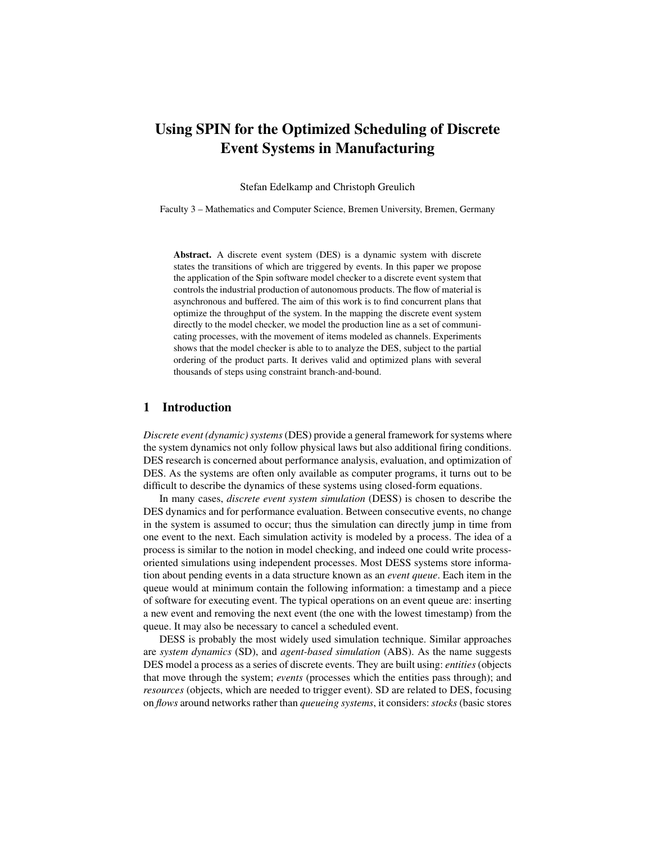# Using SPIN for the Optimized Scheduling of Discrete Event Systems in Manufacturing

Stefan Edelkamp and Christoph Greulich

Faculty 3 – Mathematics and Computer Science, Bremen University, Bremen, Germany

Abstract. A discrete event system (DES) is a dynamic system with discrete states the transitions of which are triggered by events. In this paper we propose the application of the Spin software model checker to a discrete event system that controls the industrial production of autonomous products. The flow of material is asynchronous and buffered. The aim of this work is to find concurrent plans that optimize the throughput of the system. In the mapping the discrete event system directly to the model checker, we model the production line as a set of communicating processes, with the movement of items modeled as channels. Experiments shows that the model checker is able to to analyze the DES, subject to the partial ordering of the product parts. It derives valid and optimized plans with several thousands of steps using constraint branch-and-bound.

# 1 Introduction

*Discrete event (dynamic) systems*(DES) provide a general framework for systems where the system dynamics not only follow physical laws but also additional firing conditions. DES research is concerned about performance analysis, evaluation, and optimization of DES. As the systems are often only available as computer programs, it turns out to be difficult to describe the dynamics of these systems using closed-form equations.

In many cases, *discrete event system simulation* (DESS) is chosen to describe the DES dynamics and for performance evaluation. Between consecutive events, no change in the system is assumed to occur; thus the simulation can directly jump in time from one event to the next. Each simulation activity is modeled by a process. The idea of a process is similar to the notion in model checking, and indeed one could write processoriented simulations using independent processes. Most DESS systems store information about pending events in a data structure known as an *event queue*. Each item in the queue would at minimum contain the following information: a timestamp and a piece of software for executing event. The typical operations on an event queue are: inserting a new event and removing the next event (the one with the lowest timestamp) from the queue. It may also be necessary to cancel a scheduled event.

DESS is probably the most widely used simulation technique. Similar approaches are *system dynamics* (SD), and *agent-based simulation* (ABS). As the name suggests DES model a process as a series of discrete events. They are built using: *entities* (objects that move through the system; *events* (processes which the entities pass through); and *resources* (objects, which are needed to trigger event). SD are related to DES, focusing on *flows* around networks rather than *queueing systems*, it considers: *stocks* (basic stores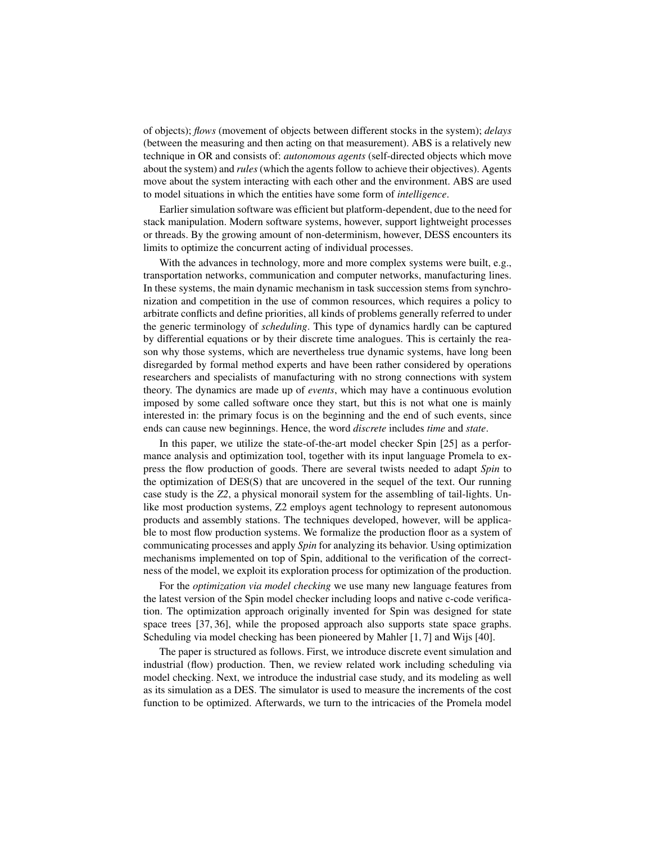of objects); *flows* (movement of objects between different stocks in the system); *delays* (between the measuring and then acting on that measurement). ABS is a relatively new technique in OR and consists of: *autonomous agents* (self-directed objects which move about the system) and *rules*(which the agents follow to achieve their objectives). Agents move about the system interacting with each other and the environment. ABS are used to model situations in which the entities have some form of *intelligence*.

Earlier simulation software was efficient but platform-dependent, due to the need for stack manipulation. Modern software systems, however, support lightweight processes or threads. By the growing amount of non-determinism, however, DESS encounters its limits to optimize the concurrent acting of individual processes.

With the advances in technology, more and more complex systems were built, e.g., transportation networks, communication and computer networks, manufacturing lines. In these systems, the main dynamic mechanism in task succession stems from synchronization and competition in the use of common resources, which requires a policy to arbitrate conflicts and define priorities, all kinds of problems generally referred to under the generic terminology of *scheduling*. This type of dynamics hardly can be captured by differential equations or by their discrete time analogues. This is certainly the reason why those systems, which are nevertheless true dynamic systems, have long been disregarded by formal method experts and have been rather considered by operations researchers and specialists of manufacturing with no strong connections with system theory. The dynamics are made up of *events*, which may have a continuous evolution imposed by some called software once they start, but this is not what one is mainly interested in: the primary focus is on the beginning and the end of such events, since ends can cause new beginnings. Hence, the word *discrete* includes *time* and *state*.

In this paper, we utilize the state-of-the-art model checker Spin [25] as a performance analysis and optimization tool, together with its input language Promela to express the flow production of goods. There are several twists needed to adapt *Spin* to the optimization of DES(S) that are uncovered in the sequel of the text. Our running case study is the *Z2*, a physical monorail system for the assembling of tail-lights. Unlike most production systems, Z2 employs agent technology to represent autonomous products and assembly stations. The techniques developed, however, will be applicable to most flow production systems. We formalize the production floor as a system of communicating processes and apply *Spin* for analyzing its behavior. Using optimization mechanisms implemented on top of Spin, additional to the verification of the correctness of the model, we exploit its exploration process for optimization of the production.

For the *optimization via model checking* we use many new language features from the latest version of the Spin model checker including loops and native c-code verification. The optimization approach originally invented for Spin was designed for state space trees [37, 36], while the proposed approach also supports state space graphs. Scheduling via model checking has been pioneered by Mahler [1, 7] and Wijs [40].

The paper is structured as follows. First, we introduce discrete event simulation and industrial (flow) production. Then, we review related work including scheduling via model checking. Next, we introduce the industrial case study, and its modeling as well as its simulation as a DES. The simulator is used to measure the increments of the cost function to be optimized. Afterwards, we turn to the intricacies of the Promela model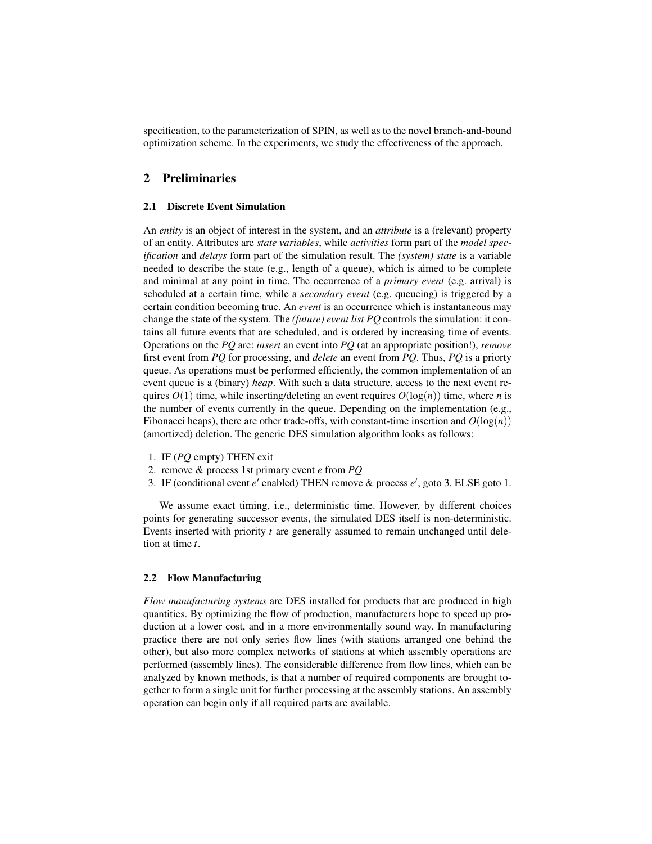specification, to the parameterization of SPIN, as well as to the novel branch-and-bound optimization scheme. In the experiments, we study the effectiveness of the approach.

# 2 Preliminaries

#### 2.1 Discrete Event Simulation

An *entity* is an object of interest in the system, and an *attribute* is a (relevant) property of an entity. Attributes are *state variables*, while *activities* form part of the *model specification* and *delays* form part of the simulation result. The *(system) state* is a variable needed to describe the state (e.g., length of a queue), which is aimed to be complete and minimal at any point in time. The occurrence of a *primary event* (e.g. arrival) is scheduled at a certain time, while a *secondary event* (e.g. queueing) is triggered by a certain condition becoming true. An *event* is an occurrence which is instantaneous may change the state of the system. The *(future) event list PQ* controls the simulation: it contains all future events that are scheduled, and is ordered by increasing time of events. Operations on the *PQ* are: *insert* an event into *PQ* (at an appropriate position!), *remove* first event from *PQ* for processing, and *delete* an event from *PQ*. Thus, *PQ* is a priorty queue. As operations must be performed efficiently, the common implementation of an event queue is a (binary) *heap*. With such a data structure, access to the next event requires  $O(1)$  time, while inserting/deleting an event requires  $O(\log(n))$  time, where *n* is the number of events currently in the queue. Depending on the implementation (e.g., Fibonacci heaps), there are other trade-offs, with constant-time insertion and  $O(log(n))$ (amortized) deletion. The generic DES simulation algorithm looks as follows:

- 1. IF (*PQ* empty) THEN exit
- 2. remove & process 1st primary event *e* from *PQ*
- 3. IF (conditional event *e'* enabled) THEN remove & process *e'*, goto 3. ELSE goto 1.

We assume exact timing, i.e., deterministic time. However, by different choices points for generating successor events, the simulated DES itself is non-deterministic. Events inserted with priority *t* are generally assumed to remain unchanged until deletion at time *t*.

### 2.2 Flow Manufacturing

*Flow manufacturing systems* are DES installed for products that are produced in high quantities. By optimizing the flow of production, manufacturers hope to speed up production at a lower cost, and in a more environmentally sound way. In manufacturing practice there are not only series flow lines (with stations arranged one behind the other), but also more complex networks of stations at which assembly operations are performed (assembly lines). The considerable difference from flow lines, which can be analyzed by known methods, is that a number of required components are brought together to form a single unit for further processing at the assembly stations. An assembly operation can begin only if all required parts are available.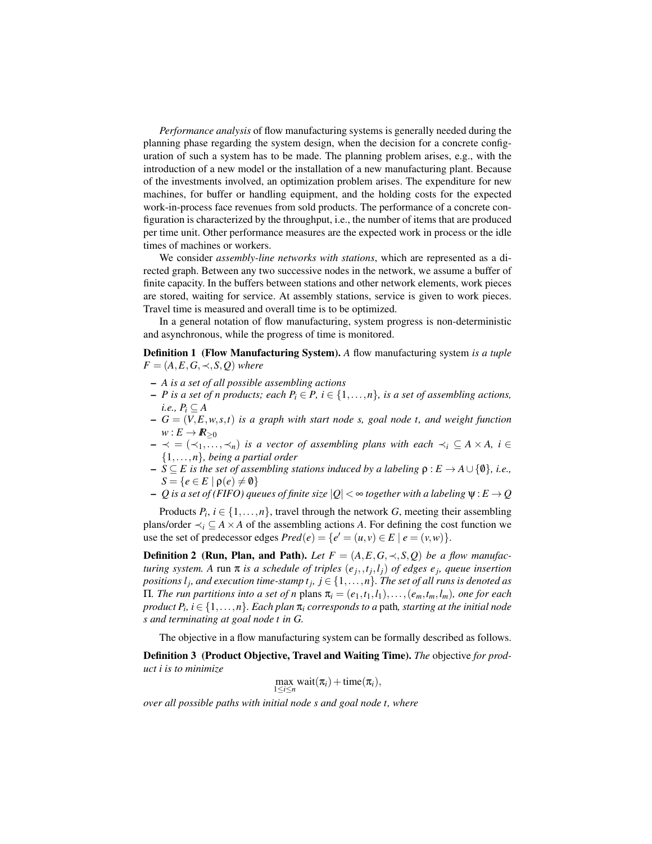*Performance analysis* of flow manufacturing systems is generally needed during the planning phase regarding the system design, when the decision for a concrete configuration of such a system has to be made. The planning problem arises, e.g., with the introduction of a new model or the installation of a new manufacturing plant. Because of the investments involved, an optimization problem arises. The expenditure for new machines, for buffer or handling equipment, and the holding costs for the expected work-in-process face revenues from sold products. The performance of a concrete configuration is characterized by the throughput, i.e., the number of items that are produced per time unit. Other performance measures are the expected work in process or the idle times of machines or workers.

We consider *assembly-line networks with stations*, which are represented as a directed graph. Between any two successive nodes in the network, we assume a buffer of finite capacity. In the buffers between stations and other network elements, work pieces are stored, waiting for service. At assembly stations, service is given to work pieces. Travel time is measured and overall time is to be optimized.

In a general notation of flow manufacturing, system progress is non-deterministic and asynchronous, while the progress of time is monitored.

Definition 1 (Flow Manufacturing System). *A* flow manufacturing system *is a tuple*  $F = (A, E, G, \prec, S, Q)$  *where* 

- *A is a set of all possible assembling actions*
- $− P$  is a set of n products; each  $P_i ∈ P$ ,  $i ∈ \{1, ..., n\}$ , is a set of assembling actions, *i.e.,*  $P_i$  ⊂ *A*
- $-G = (V, E, w, s, t)$  *is a graph with start node s, goal node t, and weight function*  $w: E \to \mathbb{R}_{\geq 0}$
- ≺ = (≺1,...,≺*n*) *is a vector of assembling plans with each* ≺*<sup>i</sup>* ⊆ *A* × *A, i* ∈ {1,...,*n*}*, being a partial order*
- $-$  *S* ⊆ *E is the set of assembling stations induced by a labeling*  $\rho$  : *E*  $\rightarrow$  *A* ∪ {**0**}*, i.e.,*  $S = \{e \in E \mid \rho(e) \neq \emptyset\}$
- $-$  *Q* is a set of (FIFO) queues of finite size  $|Q| < \infty$  together with a labeling  $\Psi : E \to Q$

Products  $P_i$ ,  $i \in \{1, \ldots, n\}$ , travel through the network *G*, meeting their assembling plans/order  $\prec_i \subseteq A \times A$  of the assembling actions *A*. For defining the cost function we use the set of predecessor edges  $Pred(e) = \{e' = (u, v) \in E \mid e = (v, w)\}.$ 

**Definition 2 (Run, Plan, and Path).** Let  $F = (A, E, G, \prec, S, Q)$  be a flow manufac*turing system. A* run π *is a schedule of triples* (*e<sup>j</sup>* ,,*t<sup>j</sup>* ,*lj*) *of edges e <sup>j</sup> , queue insertion*  $\mathit{positions}\ l_j\$  and execution time-stamp  $t_j,\,j\in\{1,\ldots,n\}.$  The set of all runs is denoted as Π*. The run partitions into a set of n* plans π*<sup>i</sup>* = (*e*1,*t*1,*l*1),...,(*em*,*tm*,*lm*)*, one for each product P<sup>i</sup> , i* ∈ {1,...,*n*}*. Each plan* π*<sup>i</sup> corresponds to a* path*, starting at the initial node s and terminating at goal node t in G.*

The objective in a flow manufacturing system can be formally described as follows.

Definition 3 (Product Objective, Travel and Waiting Time). *The* objective *for product i is to minimize*

 $\max_{1 \le i \le n} \text{wait}(\pi_i) + \text{time}(\pi_i),$ 

*over all possible paths with initial node s and goal node t, where*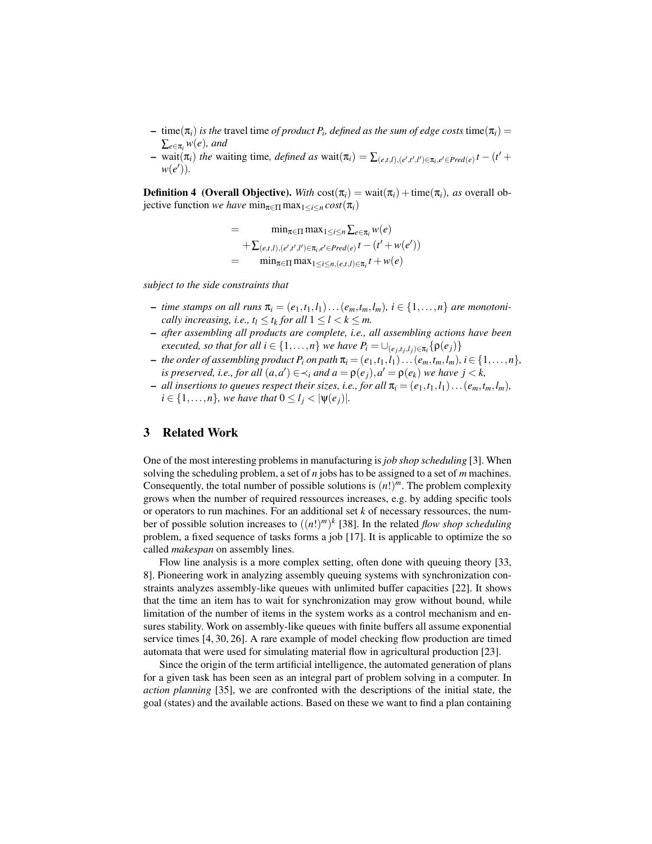- $-$  time( $\pi$ <sub>*i*</sub>) *is the* travel time *of product*  $P$ *<sub><i>i*</sub></sub>, defined as the sum of edge costs time( $\pi$ <sup>*i*</sup>) =  $\sum_{e \in \pi_i} w(e)$ *, and*
- $\bullet$  wait(π*i*) *the* waiting time, *defined as* wait(π*i*) =  $\sum_{(e,t,l),(e',t',l') \in π_i,e' \in Pred(e)} t (t' +$  $w(e')$ ).

**Definition 4** (Overall Objective). With  $cost(\pi_i) = wait(\pi_i) + time(\pi_i)$ , as overall objective function *we have*  $\min_{\pi \in \Pi} \max_{1 \le i \le n} cost(\pi_i)$ 

$$
= \min_{\pi \in \Pi} \max_{1 \le i \le n} \sum_{e \in \pi_i} w(e)
$$
  
+ 
$$
\sum_{(e,t,l),(e',t',l') \in \pi_i, e' \in Pred(e)} t - (t' + w(e'))
$$
  
= 
$$
\min_{\pi \in \Pi} \max_{1 \le i \le n, (e,t,l) \in \pi_i} t + w(e)
$$

*subject to the side constraints that*

- $-$  *time stamps on all runs*  $\pi_i = (e_1, t_1, l_1) \dots (e_m, t_m, l_m)$ ,  $i \in \{1, \dots, n\}$  *are monotonically increasing, i.e.,*  $t_l \leq t_k$  *for all*  $1 \leq l < k \leq m$ .
- *after assembling all products are complete, i.e., all assembling actions have been executed, so that for all*  $i \in \{1, ..., n\}$  *we have*  $P_i = \cup_{(e_j, t_j, l_j) \in \pi_i} \{ \rho(e_j) \}$
- $\tau$  *the order of assembling product*  $P_i$  *on path*  $\pi_i = (e_1, t_1, l_1) \dots (e_m, t_m, l_m)$ ,  $i \in \{1, \dots, n\}$ , *is preserved, i.e., for all*  $(a, a') \in \prec_i$  *and*  $a = \rho(e_j)$ ,  $a' = \rho(e_k)$  *we have*  $j < k$ ,
- $-$  *all insertions to queues respect their sizes, i.e., for all*  $\pi_i = (e_1, t_1, l_1) \dots (e_m, t_m, l_m)$ ,  $i \in \{1, ..., n\}$ *, we have that*  $0 \leq l_i < |\psi(e_i)|$ *.*

# 3 Related Work

One of the most interesting problems in manufacturing is *job shop scheduling* [3]. When solving the scheduling problem, a set of *n* jobs has to be assigned to a set of *m* machines. Consequently, the total number of possible solutions is  $(n!)^m$ . The problem complexity grows when the number of required ressources increases, e.g. by adding specific tools or operators to run machines. For an additional set *k* of necessary ressources, the number of possible solution increases to ((*n*!) *m*) *k* [38]. In the related *flow shop scheduling* problem, a fixed sequence of tasks forms a job [17]. It is applicable to optimize the so called *makespan* on assembly lines.

Flow line analysis is a more complex setting, often done with queuing theory [33, 8]. Pioneering work in analyzing assembly queuing systems with synchronization constraints analyzes assembly-like queues with unlimited buffer capacities [22]. It shows that the time an item has to wait for synchronization may grow without bound, while limitation of the number of items in the system works as a control mechanism and ensures stability. Work on assembly-like queues with finite buffers all assume exponential service times [4, 30, 26]. A rare example of model checking flow production are timed automata that were used for simulating material flow in agricultural production [23].

Since the origin of the term artificial intelligence, the automated generation of plans for a given task has been seen as an integral part of problem solving in a computer. In *action planning* [35], we are confronted with the descriptions of the initial state, the goal (states) and the available actions. Based on these we want to find a plan containing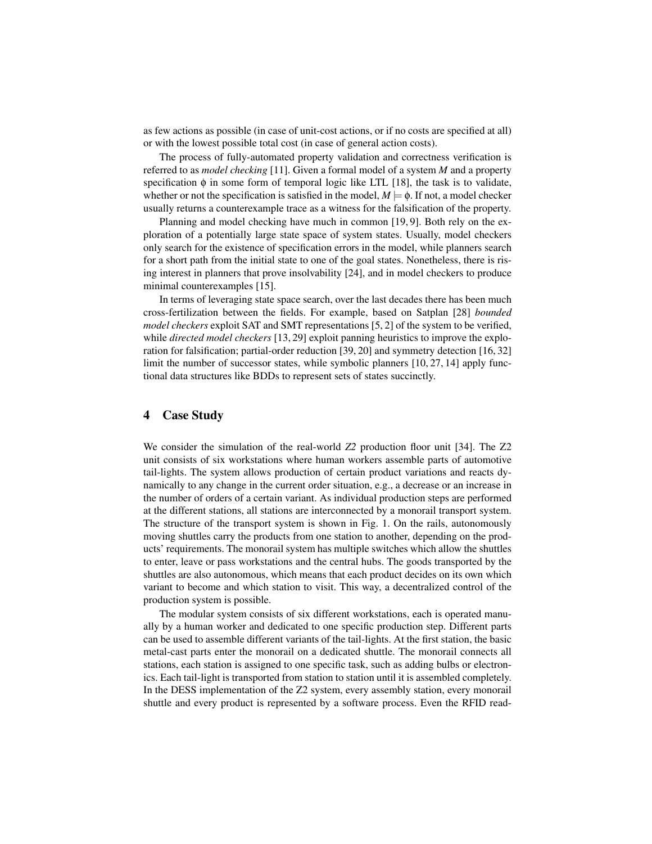as few actions as possible (in case of unit-cost actions, or if no costs are specified at all) or with the lowest possible total cost (in case of general action costs).

The process of fully-automated property validation and correctness verification is referred to as *model checking* [11]. Given a formal model of a system *M* and a property specification  $\phi$  in some form of temporal logic like LTL [18], the task is to validate, whether or not the specification is satisfied in the model,  $M = \phi$ . If not, a model checker usually returns a counterexample trace as a witness for the falsification of the property.

Planning and model checking have much in common [19, 9]. Both rely on the exploration of a potentially large state space of system states. Usually, model checkers only search for the existence of specification errors in the model, while planners search for a short path from the initial state to one of the goal states. Nonetheless, there is rising interest in planners that prove insolvability [24], and in model checkers to produce minimal counterexamples [15].

In terms of leveraging state space search, over the last decades there has been much cross-fertilization between the fields. For example, based on Satplan [28] *bounded model checkers* exploit SAT and SMT representations [5, 2] of the system to be verified, while *directed model checkers* [13, 29] exploit panning heuristics to improve the exploration for falsification; partial-order reduction [39, 20] and symmetry detection [16, 32] limit the number of successor states, while symbolic planners [10, 27, 14] apply functional data structures like BDDs to represent sets of states succinctly.

## 4 Case Study

We consider the simulation of the real-world *Z2* production floor unit [34]. The Z2 unit consists of six workstations where human workers assemble parts of automotive tail-lights. The system allows production of certain product variations and reacts dynamically to any change in the current order situation, e.g., a decrease or an increase in the number of orders of a certain variant. As individual production steps are performed at the different stations, all stations are interconnected by a monorail transport system. The structure of the transport system is shown in Fig. 1. On the rails, autonomously moving shuttles carry the products from one station to another, depending on the products' requirements. The monorail system has multiple switches which allow the shuttles to enter, leave or pass workstations and the central hubs. The goods transported by the shuttles are also autonomous, which means that each product decides on its own which variant to become and which station to visit. This way, a decentralized control of the production system is possible.

The modular system consists of six different workstations, each is operated manually by a human worker and dedicated to one specific production step. Different parts can be used to assemble different variants of the tail-lights. At the first station, the basic metal-cast parts enter the monorail on a dedicated shuttle. The monorail connects all stations, each station is assigned to one specific task, such as adding bulbs or electronics. Each tail-light is transported from station to station until it is assembled completely. In the DESS implementation of the Z2 system, every assembly station, every monorail shuttle and every product is represented by a software process. Even the RFID read-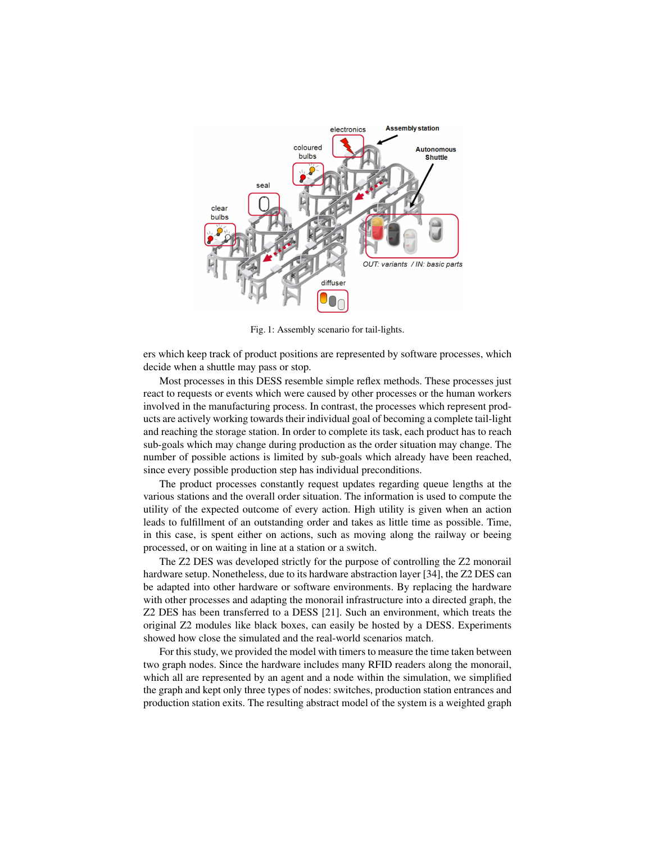

Fig. 1: Assembly scenario for tail-lights.

ers which keep track of product positions are represented by software processes, which decide when a shuttle may pass or stop.

Most processes in this DESS resemble simple reflex methods. These processes just react to requests or events which were caused by other processes or the human workers involved in the manufacturing process. In contrast, the processes which represent products are actively working towards their individual goal of becoming a complete tail-light and reaching the storage station. In order to complete its task, each product has to reach sub-goals which may change during production as the order situation may change. The number of possible actions is limited by sub-goals which already have been reached, since every possible production step has individual preconditions.

The product processes constantly request updates regarding queue lengths at the various stations and the overall order situation. The information is used to compute the utility of the expected outcome of every action. High utility is given when an action leads to fulfillment of an outstanding order and takes as little time as possible. Time, in this case, is spent either on actions, such as moving along the railway or beeing processed, or on waiting in line at a station or a switch.

The Z2 DES was developed strictly for the purpose of controlling the Z2 monorail hardware setup. Nonetheless, due to its hardware abstraction layer [34], the Z2 DES can be adapted into other hardware or software environments. By replacing the hardware with other processes and adapting the monorail infrastructure into a directed graph, the Z2 DES has been transferred to a DESS [21]. Such an environment, which treats the original Z2 modules like black boxes, can easily be hosted by a DESS. Experiments showed how close the simulated and the real-world scenarios match.

For this study, we provided the model with timers to measure the time taken between two graph nodes. Since the hardware includes many RFID readers along the monorail, which all are represented by an agent and a node within the simulation, we simplified the graph and kept only three types of nodes: switches, production station entrances and production station exits. The resulting abstract model of the system is a weighted graph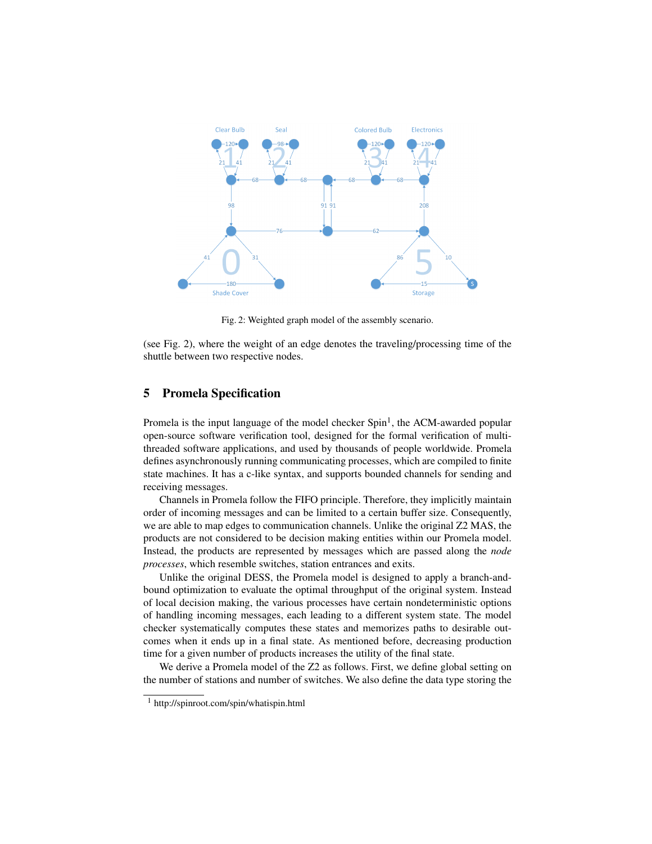

Fig. 2: Weighted graph model of the assembly scenario.

(see Fig. 2), where the weight of an edge denotes the traveling/processing time of the shuttle between two respective nodes.

# 5 Promela Specification

Promela is the input language of the model checker Spin<sup>1</sup>, the ACM-awarded popular open-source software verification tool, designed for the formal verification of multithreaded software applications, and used by thousands of people worldwide. Promela defines asynchronously running communicating processes, which are compiled to finite state machines. It has a c-like syntax, and supports bounded channels for sending and receiving messages.

Channels in Promela follow the FIFO principle. Therefore, they implicitly maintain order of incoming messages and can be limited to a certain buffer size. Consequently, we are able to map edges to communication channels. Unlike the original Z2 MAS, the products are not considered to be decision making entities within our Promela model. Instead, the products are represented by messages which are passed along the *node processes*, which resemble switches, station entrances and exits.

Unlike the original DESS, the Promela model is designed to apply a branch-andbound optimization to evaluate the optimal throughput of the original system. Instead of local decision making, the various processes have certain nondeterministic options of handling incoming messages, each leading to a different system state. The model checker systematically computes these states and memorizes paths to desirable outcomes when it ends up in a final state. As mentioned before, decreasing production time for a given number of products increases the utility of the final state.

We derive a Promela model of the Z2 as follows. First, we define global setting on the number of stations and number of switches. We also define the data type storing the

<sup>1</sup> http://spinroot.com/spin/whatispin.html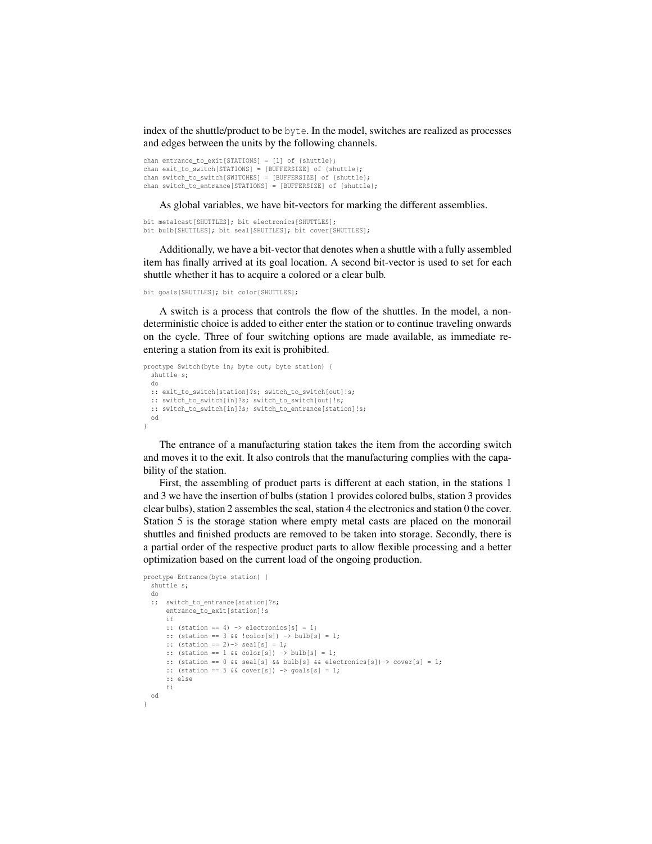index of the shuttle/product to be byte. In the model, switches are realized as processes and edges between the units by the following channels.

```
chan entrance_to_exit[STATIONS] = [1] of {shuttle};
chan exit_to_switch[STATIONS] = [BUFFERSIZE] of {shuttle};
chan switch_to_switch[SWITCHES] = [BUFFERSIZE] of {shuttle};
chan switch_to_entrance[STATIONS] = [BUFFERSIZE] of {shuttle};
```
As global variables, we have bit-vectors for marking the different assemblies.

```
bit metalcast[SHUTTLES]; bit electronics[SHUTTLES];
bit bulb[SHUTTLES]; bit seal[SHUTTLES]; bit cover[SHUTTLES];
```
Additionally, we have a bit-vector that denotes when a shuttle with a fully assembled item has finally arrived at its goal location. A second bit-vector is used to set for each shuttle whether it has to acquire a colored or a clear bulb.

bit goals[SHUTTLES]; bit color[SHUTTLES];

A switch is a process that controls the flow of the shuttles. In the model, a nondeterministic choice is added to either enter the station or to continue traveling onwards on the cycle. Three of four switching options are made available, as immediate reentering a station from its exit is prohibited.

```
proctype Switch(byte in; byte out; byte station) {
 shuttle s:
 do
 :: exit to switch[station]?s; switch to switch[out]!s;
 :: switch_to_switch[in]?s; switch_to_switch[out]!s;
 :: switch_to_switch[in]?s; switch_to_entrance[station]!s;
 od
}
```
The entrance of a manufacturing station takes the item from the according switch and moves it to the exit. It also controls that the manufacturing complies with the capability of the station.

First, the assembling of product parts is different at each station, in the stations 1 and 3 we have the insertion of bulbs (station 1 provides colored bulbs, station 3 provides clear bulbs), station 2 assembles the seal, station 4 the electronics and station 0 the cover. Station 5 is the storage station where empty metal casts are placed on the monorail shuttles and finished products are removed to be taken into storage. Secondly, there is a partial order of the respective product parts to allow flexible processing and a better optimization based on the current load of the ongoing production.

```
proctype Entrance(byte station) {
```
}

```
shuttle s:
do
:: switch_to_entrance[station]?s;
    entrance_to_exit[station]!s
    if
    :: (station == 4) \rightarrow electronics[s] = 1;
    :: (station == 3 \& !color[s]) -> bulb[s] = 1;
    :: (station == 2) -> seal[s] = 1;
    :: (station == 1 \& color[s]) -> bulb[s] = 1;
    :: (station == 0 && seal[s] && bulb[s] && electronics[s])-> cover[s] = 1;
    :: (station == 5 && cover[s]) -> goals[s] = 1;
    :: else
    fi
od
```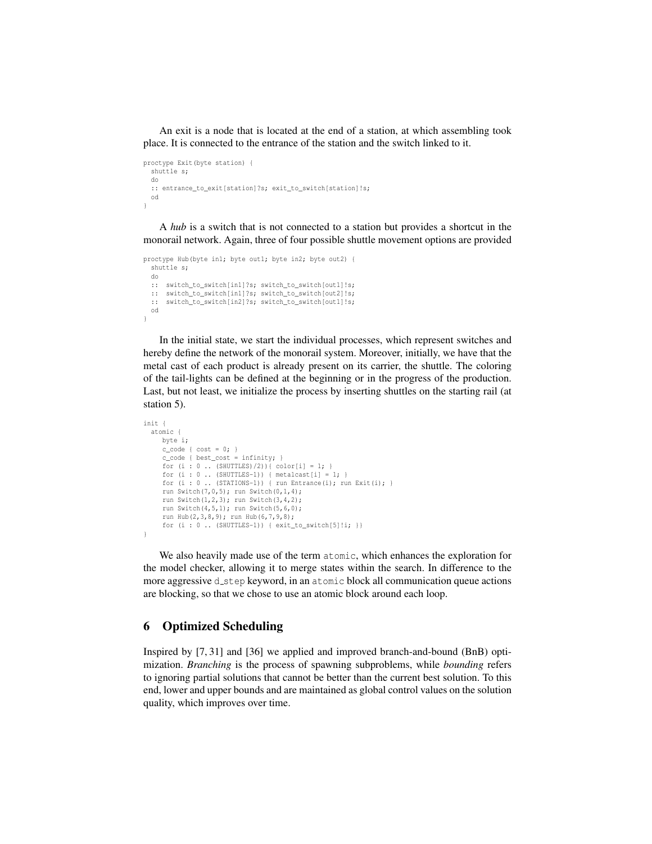An exit is a node that is located at the end of a station, at which assembling took place. It is connected to the entrance of the station and the switch linked to it.

```
proctype Exit(byte station) {
 shuttle s;
 do
 :: entrance_to_exit[station]?s; exit_to_switch[station]!s;
 od
}
```
A *hub* is a switch that is not connected to a station but provides a shortcut in the monorail network. Again, three of four possible shuttle movement options are provided

```
proctype Hub(byte in1; byte out1; byte in2; byte out2) {
 shuttle s;
 do
 :: switch_to_switch[in1]?s; switch_to_switch[out1]!s;
 :: switch_to_switch[in1]?s; switch_to_switch[out2]!s;
 :: switch to switch[in2]?s; switch to switch[out1]!s;
 od
}
```
In the initial state, we start the individual processes, which represent switches and hereby define the network of the monorail system. Moreover, initially, we have that the metal cast of each product is already present on its carrier, the shuttle. The coloring of the tail-lights can be defined at the beginning or in the progress of the production. Last, but not least, we initialize the process by inserting shuttles on the starting rail (at station 5).

```
init {
 atomic {
    byte i;
    c\_{code} { cost = 0; }
     c_code { best_cost = infinity; }
    for (i : 0 ... (SHUTTES)/2) { color[i] = 1; }
     for (i : 0 .. (SHUTTLES-1)) { metalcast[i] = 1; }
    for (i : 0 .. (STATIONS-1)) { run Entrance(i); run Exit(i); }
    run Switch(7,0,5); run Switch(0,1,4);
    run Switch(1,2,3); run Switch(3,4,2);
    run Switch(4,5,1); run Switch(5,6,0);
     run Hub(2,3,8,9); run Hub(6,7,9,8);
    for (i : 0.. (SHUTTLES-1)) { exit_to\_switch[5]!i; )}
}
```
We also heavily made use of the term atomic, which enhances the exploration for the model checker, allowing it to merge states within the search. In difference to the more aggressive d\_step keyword, in an atomic block all communication queue actions are blocking, so that we chose to use an atomic block around each loop.

# 6 Optimized Scheduling

Inspired by [7, 31] and [36] we applied and improved branch-and-bound (BnB) optimization. *Branching* is the process of spawning subproblems, while *bounding* refers to ignoring partial solutions that cannot be better than the current best solution. To this end, lower and upper bounds and are maintained as global control values on the solution quality, which improves over time.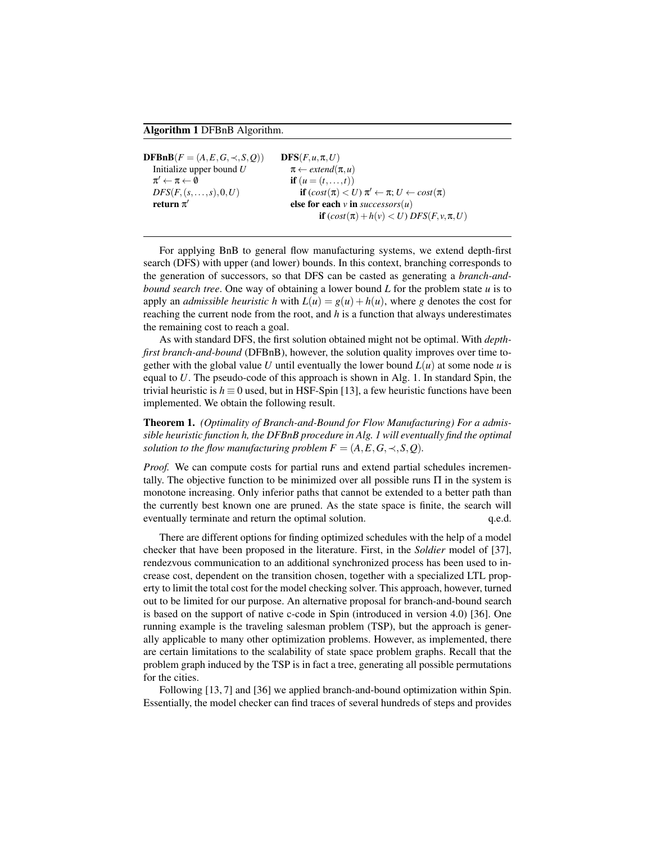### Algorithm 1 DFBnB Algorithm.

```
DFBnB(F = (A, E, G, \prec, S, Q))Initialize upper bound U
   \pi' \leftarrow \pi \leftarrow 0DFS(F, (s, \ldots, s), 0, U)return \pi'DFS(F, u, \pi, U)\pi \leftarrow extend(\pi, u)if (u = (t, ..., t))if (cost(\pi) < U) \pi' \leftarrow \pi; U \leftarrow cost(\pi)else for each v in successors(u)if (cost(\pi) + h(v) < U) DFS(F, v, \pi, U)
```
For applying BnB to general flow manufacturing systems, we extend depth-first search (DFS) with upper (and lower) bounds. In this context, branching corresponds to the generation of successors, so that DFS can be casted as generating a *branch-andbound search tree*. One way of obtaining a lower bound *L* for the problem state *u* is to apply an *admissible heuristic h* with  $L(u) = g(u) + h(u)$ , where *g* denotes the cost for reaching the current node from the root, and *h* is a function that always underestimates the remaining cost to reach a goal.

As with standard DFS, the first solution obtained might not be optimal. With *depthfirst branch-and-bound* (DFBnB), however, the solution quality improves over time together with the global value *U* until eventually the lower bound  $L(u)$  at some node *u* is equal to *U*. The pseudo-code of this approach is shown in Alg. 1. In standard Spin, the trivial heuristic is  $h \equiv 0$  used, but in HSF-Spin [13], a few heuristic functions have been implemented. We obtain the following result.

Theorem 1. *(Optimality of Branch-and-Bound for Flow Manufacturing) For a admissible heuristic function h, the DFBnB procedure in Alg. 1 will eventually find the optimal solution to the flow manufacturing problem*  $F = (A, E, G, \prec, S, Q)$ *.* 

*Proof.* We can compute costs for partial runs and extend partial schedules incrementally. The objective function to be minimized over all possible runs  $\Pi$  in the system is monotone increasing. Only inferior paths that cannot be extended to a better path than the currently best known one are pruned. As the state space is finite, the search will eventually terminate and return the optimal solution.  $q.e.d.$ 

There are different options for finding optimized schedules with the help of a model checker that have been proposed in the literature. First, in the *Soldier* model of [37], rendezvous communication to an additional synchronized process has been used to increase cost, dependent on the transition chosen, together with a specialized LTL property to limit the total cost for the model checking solver. This approach, however, turned out to be limited for our purpose. An alternative proposal for branch-and-bound search is based on the support of native c-code in Spin (introduced in version 4.0) [36]. One running example is the traveling salesman problem (TSP), but the approach is generally applicable to many other optimization problems. However, as implemented, there are certain limitations to the scalability of state space problem graphs. Recall that the problem graph induced by the TSP is in fact a tree, generating all possible permutations for the cities.

Following [13, 7] and [36] we applied branch-and-bound optimization within Spin. Essentially, the model checker can find traces of several hundreds of steps and provides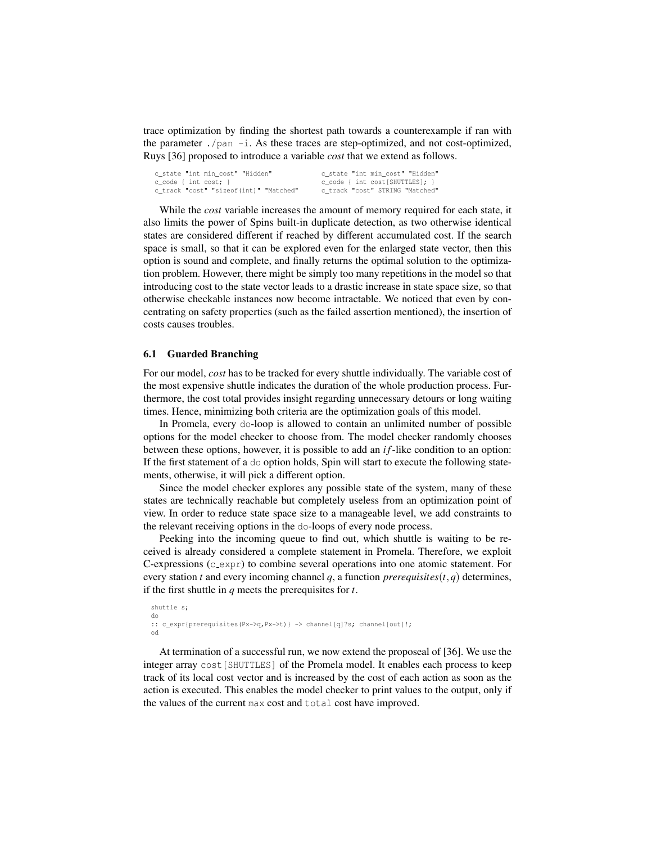trace optimization by finding the shortest path towards a counterexample if ran with the parameter ./pan -i. As these traces are step-optimized, and not cost-optimized, Ruys [36] proposed to introduce a variable *cost* that we extend as follows.

c\_state "int min\_cost" "Hidden" c\_state "int min\_cost" "Hidden" c\_code { int cost; } <br>c\_track "cost" "sizeof(int)" "Matched" c\_track "cost" STRING "Matched" c\_track "cost" "sizeof(int)" "Matched"

While the *cost* variable increases the amount of memory required for each state, it also limits the power of Spins built-in duplicate detection, as two otherwise identical states are considered different if reached by different accumulated cost. If the search space is small, so that it can be explored even for the enlarged state vector, then this option is sound and complete, and finally returns the optimal solution to the optimization problem. However, there might be simply too many repetitions in the model so that introducing cost to the state vector leads to a drastic increase in state space size, so that otherwise checkable instances now become intractable. We noticed that even by concentrating on safety properties (such as the failed assertion mentioned), the insertion of costs causes troubles.

#### 6.1 Guarded Branching

For our model, *cost* has to be tracked for every shuttle individually. The variable cost of the most expensive shuttle indicates the duration of the whole production process. Furthermore, the cost total provides insight regarding unnecessary detours or long waiting times. Hence, minimizing both criteria are the optimization goals of this model.

In Promela, every do-loop is allowed to contain an unlimited number of possible options for the model checker to choose from. The model checker randomly chooses between these options, however, it is possible to add an *i f*-like condition to an option: If the first statement of a do option holds, Spin will start to execute the following statements, otherwise, it will pick a different option.

Since the model checker explores any possible state of the system, many of these states are technically reachable but completely useless from an optimization point of view. In order to reduce state space size to a manageable level, we add constraints to the relevant receiving options in the do-loops of every node process.

Peeking into the incoming queue to find out, which shuttle is waiting to be received is already considered a complete statement in Promela. Therefore, we exploit  $C$ -expressions ( $c$ <sub>-expr</sub>) to combine several operations into one atomic statement. For every station *t* and every incoming channel *q*, a function *prerequisites*(*t*,*q*) determines, if the first shuttle in *q* meets the prerequisites for *t*.

```
shuttle s;
do
:: c_expr{prerequisites(Px->q,Px->t)} -> channel[q]?s; channel[out]!;
od
```
At termination of a successful run, we now extend the proposeal of [36]. We use the integer array cost [SHUTTLES] of the Promela model. It enables each process to keep track of its local cost vector and is increased by the cost of each action as soon as the action is executed. This enables the model checker to print values to the output, only if the values of the current max cost and total cost have improved.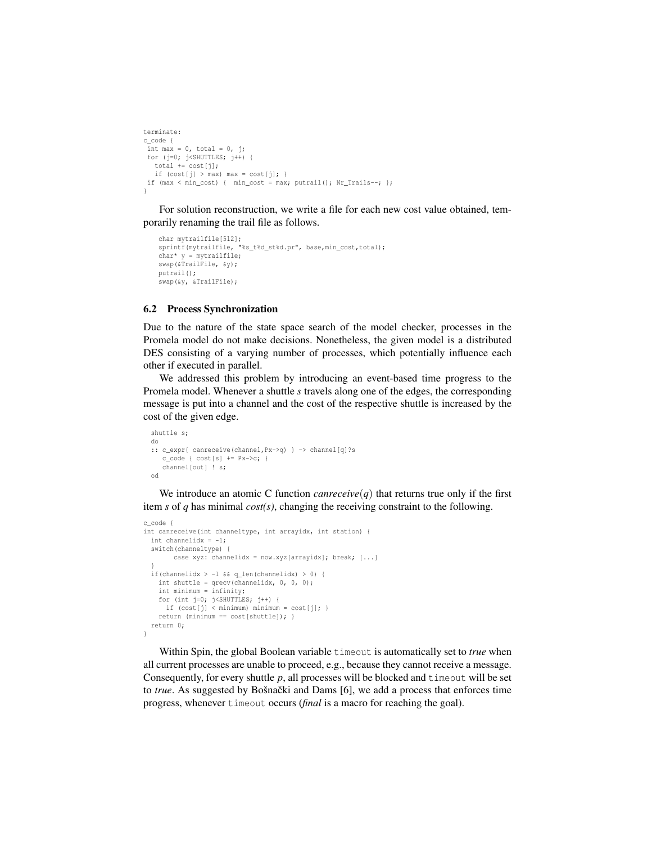```
terminate:
c_code {
 int max = 0, total = 0, j;
for (j=0; j<SHUTTLES; j++) {
 total += cost[j];if (cost[j] > max) max = cost[j]; }
if (max < min\_cost) { min\_cost = max; putraid(); Nr\_Trails--; };
}
```
For solution reconstruction, we write a file for each new cost value obtained, temporarily renaming the trail file as follows.

```
char mytrailfile[512]<mark>;</mark><br>sprintf(mytrailfile, "%s_t%d_st%d.pr", base,min_cost,total);
char* y = mytrailfile;
swap(&TrailFile, &y);
putrail();
swap(&y, &TrailFile);
```
#### 6.2 Process Synchronization

Due to the nature of the state space search of the model checker, processes in the Promela model do not make decisions. Nonetheless, the given model is a distributed DES consisting of a varying number of processes, which potentially influence each other if executed in parallel.

We addressed this problem by introducing an event-based time progress to the Promela model. Whenever a shuttle *s* travels along one of the edges, the corresponding message is put into a channel and the cost of the respective shuttle is increased by the cost of the given edge.

```
shuttle s;
do
:: c_expr{ canreceive(channel,Px->q) } -> channel[q]?s
   c_code { cost[s] += Px->c; }
   channel[out] ! s;
od
```
We introduce an atomic C function *canreceive*(*q*) that returns true only if the first item *s* of *q* has minimal *cost(s)*, changing the receiving constraint to the following.

```
c_code {
int canreceive(int channeltype, int arrayidx, int station) {
 int channelidx = -1;
 switch(channeltype) {
       case xyz: channelidx = now.xyz[arrayidx]; break; [...]
  }
if(channelidx > -1 && q_len(channelidx) > 0) {
   int shuttle = qrecv(channelidx, 0, 0, 0);
    int minimum = infinity;
   for (int j=0; j<SHUTTLES; j++) {
     if (cost[i] < minimum) minimum = cost[i];return (minimum == cost[shuttle]); }
 return 0;
}
```
Within Spin, the global Boolean variable timeout is automatically set to *true* when all current processes are unable to proceed, e.g., because they cannot receive a message. Consequently, for every shuttle *p*, all processes will be blocked and timeout will be set to *true*. As suggested by Bošnački and Dams [6], we add a process that enforces time progress, whenever timeout occurs (*final* is a macro for reaching the goal).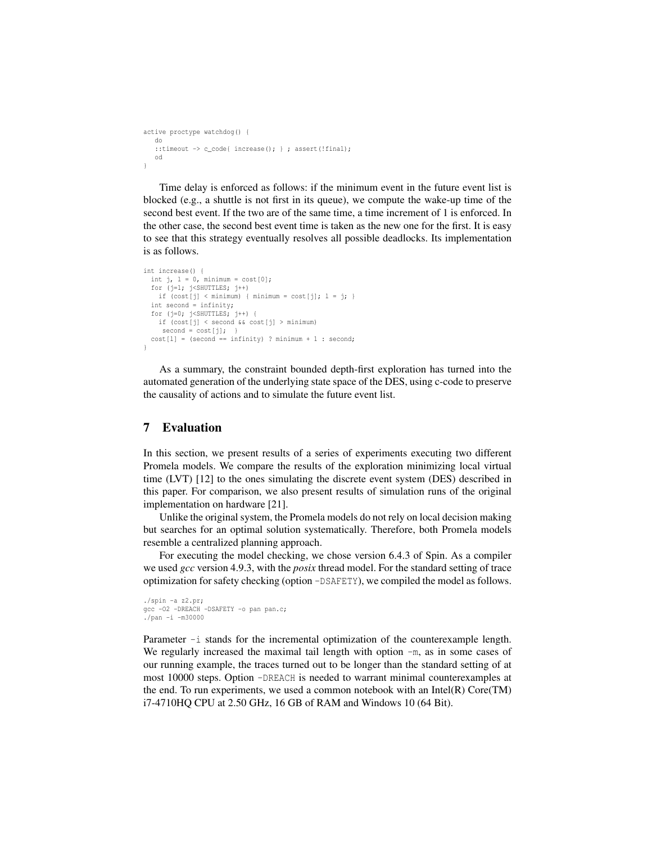```
active proctype watchdog() {
   do
   ::timeout \rightarrow c_code{ increase(); }; assert(!final);
   od
}
```
Time delay is enforced as follows: if the minimum event in the future event list is blocked (e.g., a shuttle is not first in its queue), we compute the wake-up time of the second best event. If the two are of the same time, a time increment of 1 is enforced. In the other case, the second best event time is taken as the new one for the first. It is easy to see that this strategy eventually resolves all possible deadlocks. Its implementation is as follows.

```
int increase() {
 int j, l = 0, minimum = cost[0];
 for (j=1; j<SHUTTLES; j++)
   if (cost[j] < minimum) { minimum = cost[j]; l = j; }
 int second = infinity;
 for (i=0; j<SHUTTLES; i++) {
   if (cost[j] < second && cost[j] > minimum)
    second = cost[j];cost[1] = (second == infinity) ? minimum + 1 : second;
}
```
As a summary, the constraint bounded depth-first exploration has turned into the automated generation of the underlying state space of the DES, using c-code to preserve the causality of actions and to simulate the future event list.

# 7 Evaluation

In this section, we present results of a series of experiments executing two different Promela models. We compare the results of the exploration minimizing local virtual time (LVT) [12] to the ones simulating the discrete event system (DES) described in this paper. For comparison, we also present results of simulation runs of the original implementation on hardware [21].

Unlike the original system, the Promela models do not rely on local decision making but searches for an optimal solution systematically. Therefore, both Promela models resemble a centralized planning approach.

For executing the model checking, we chose version 6.4.3 of Spin. As a compiler we used *gcc* version 4.9.3, with the *posix* thread model. For the standard setting of trace optimization for safety checking (option -DSAFETY), we compiled the model as follows.

```
./spin -a z2.pr;
gcc -O2 -DREACH -DSAFETY -o pan pan.c;
./pan -i -m30000
```
Parameter  $-i$  stands for the incremental optimization of the counterexample length. We regularly increased the maximal tail length with option  $-m$ , as in some cases of our running example, the traces turned out to be longer than the standard setting of at most 10000 steps. Option -DREACH is needed to warrant minimal counterexamples at the end. To run experiments, we used a common notebook with an Intel(R) Core(TM) i7-4710HQ CPU at 2.50 GHz, 16 GB of RAM and Windows 10 (64 Bit).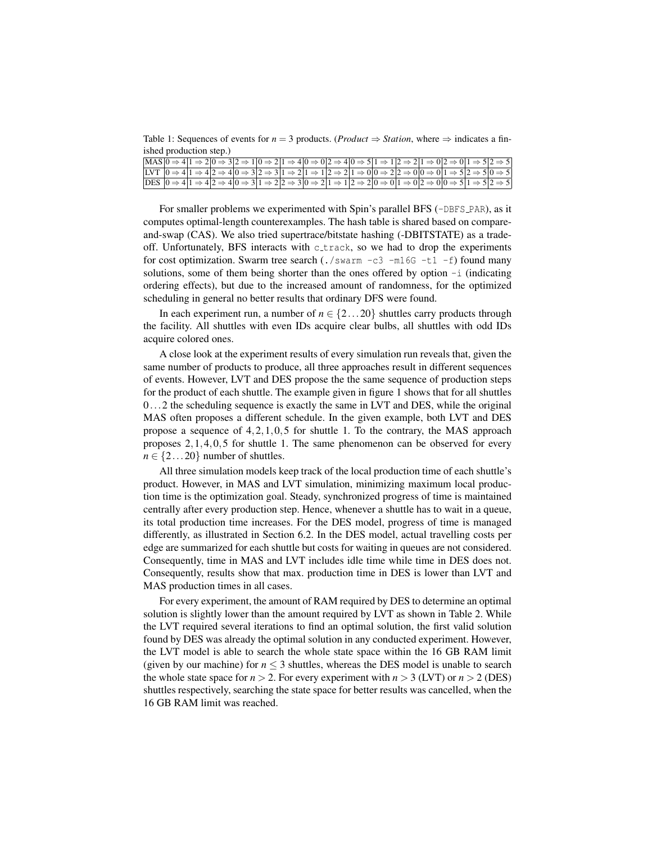Table 1: Sequences of events for  $n = 3$  products. (*Product*  $\Rightarrow$  *Station*, where  $\Rightarrow$  indicates a finished production step.)

|  |  |  |  |  |  |  | $ {\rm MAS} 0 \Rightarrow 4 1 \Rightarrow 2 0 \Rightarrow 3 2 \Rightarrow 1 0 \Rightarrow 2 1 \Rightarrow 4 0 \Rightarrow 0 2 \Rightarrow 4 0 \Rightarrow 5 1 \Rightarrow 1 2 \Rightarrow 2 1 \Rightarrow 0 2 \Rightarrow 0 1 \Rightarrow 5 2 \Rightarrow 5 2 \Rightarrow 5 2 \Rightarrow 5 2 \Rightarrow 5 2 \Rightarrow 5 2 \Rightarrow 5 2 \Rightarrow 5 2 \Rightarrow 5 2 \Rightarrow 5 2 \Rightarrow 5 2 \Rightarrow 5 2 \Rightarrow 5 2 \Rightarrow 5 2 \Rightarrow 5 2 \Rightarrow 5 2 \Rightarrow 5 2 \Rightarrow 5 2 \Rightarrow 5 2 \Rightarrow 5 2 \Rightarrow 5 2 \Rightarrow 5 2 \Rightarrow 5$ |
|--|--|--|--|--|--|--|--------------------------------------------------------------------------------------------------------------------------------------------------------------------------------------------------------------------------------------------------------------------------------------------------------------------------------------------------------------------------------------------------------------------------------------------------------------------------------------------------------------------------------------------------------------------------------------------------------------|
|  |  |  |  |  |  |  | $LVT \mid 0 \Rightarrow 4 \mid 1 \Rightarrow 4 \mid 2 \Rightarrow 4 \mid 0 \Rightarrow 3 \mid 2 \Rightarrow 3 \mid 1 \Rightarrow 2 \mid 1 \Rightarrow 1 \mid 2 \Rightarrow 2 \mid 1 \Rightarrow 0 \mid 0 \Rightarrow 2 \mid 2 \Rightarrow 0 \mid 0 \Rightarrow 0 \mid 1 \Rightarrow 5 \mid 2 \Rightarrow 5 \mid 0 \Rightarrow 5 \mid 1 \Rightarrow 5 \mid 2 \Rightarrow 5 \mid 1 \Rightarrow 5 \mid 2 \Rightarrow 5 \mid 1 \Rightarrow 5 \mid 2 \Rightarrow 5 \mid 1 \Rightarrow 5 \mid 2 \Rightarrow 5 \mid 1 \Rightarrow 5 \mid 2 \Rightarrow 5 \mid 1 \Rightarrow 5 \mid 2 \Rightarrow 5 \mid$            |
|  |  |  |  |  |  |  | DES $ 0 \Rightarrow 4 1 \Rightarrow 4 2 \Rightarrow 4 0 \Rightarrow 3 1 \Rightarrow 2 2 \Rightarrow 3 0 \Rightarrow 2 1 \Rightarrow 1 2 \Rightarrow 2 0 \Rightarrow 0 1 \Rightarrow 0 2 \Rightarrow 0 0 \Rightarrow 5 1 \Rightarrow 5 2 \Rightarrow 5 $                                                                                                                                                                                                                                                                                                                                                      |

For smaller problems we experimented with Spin's parallel BFS (-DBFS\_PAR), as it computes optimal-length counterexamples. The hash table is shared based on compareand-swap (CAS). We also tried supertrace/bitstate hashing (-DBITSTATE) as a tradeoff. Unfortunately, BFS interacts with c<sub>track</sub>, so we had to drop the experiments for cost optimization. Swarm tree search (./swarm  $-c3$  -m16G -t1 -f) found many solutions, some of them being shorter than the ones offered by option  $-i$  (indicating ordering effects), but due to the increased amount of randomness, for the optimized scheduling in general no better results that ordinary DFS were found.

In each experiment run, a number of  $n \in \{2...20\}$  shuttles carry products through the facility. All shuttles with even IDs acquire clear bulbs, all shuttles with odd IDs acquire colored ones.

A close look at the experiment results of every simulation run reveals that, given the same number of products to produce, all three approaches result in different sequences of events. However, LVT and DES propose the the same sequence of production steps for the product of each shuttle. The example given in figure 1 shows that for all shuttles 0...2 the scheduling sequence is exactly the same in LVT and DES, while the original MAS often proposes a different schedule. In the given example, both LVT and DES propose a sequence of  $4,2,1,0,5$  for shuttle 1. To the contrary, the MAS approach proposes 2,1,4,0,5 for shuttle 1. The same phenomenon can be observed for every  $n \in \{2...20\}$  number of shuttles.

All three simulation models keep track of the local production time of each shuttle's product. However, in MAS and LVT simulation, minimizing maximum local production time is the optimization goal. Steady, synchronized progress of time is maintained centrally after every production step. Hence, whenever a shuttle has to wait in a queue, its total production time increases. For the DES model, progress of time is managed differently, as illustrated in Section 6.2. In the DES model, actual travelling costs per edge are summarized for each shuttle but costs for waiting in queues are not considered. Consequently, time in MAS and LVT includes idle time while time in DES does not. Consequently, results show that max. production time in DES is lower than LVT and MAS production times in all cases.

For every experiment, the amount of RAM required by DES to determine an optimal solution is slightly lower than the amount required by LVT as shown in Table 2. While the LVT required several iterations to find an optimal solution, the first valid solution found by DES was already the optimal solution in any conducted experiment. However, the LVT model is able to search the whole state space within the 16 GB RAM limit (given by our machine) for  $n \leq 3$  shuttles, whereas the DES model is unable to search the whole state space for  $n > 2$ . For every experiment with  $n > 3$  (LVT) or  $n > 2$  (DES) shuttles respectively, searching the state space for better results was cancelled, when the 16 GB RAM limit was reached.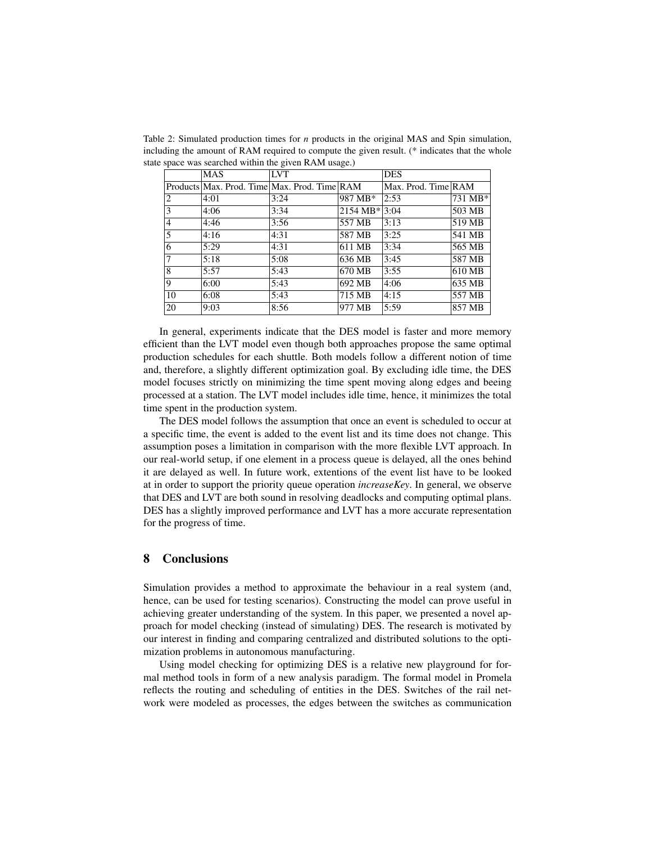Table 2: Simulated production times for *n* products in the original MAS and Spin simulation, including the amount of RAM required to compute the given result. (\* indicates that the whole state space was searched within the given RAM usage.)

|    | <b>MAS</b>                                   | <b>LVT</b> |                 | <b>DES</b>          |         |  |  |
|----|----------------------------------------------|------------|-----------------|---------------------|---------|--|--|
|    | Products Max. Prod. Time Max. Prod. Time RAM |            |                 | Max. Prod. Time RAM |         |  |  |
| 2  | 4:01                                         | 3:24       | 987 MB*         | 2:53                | 731 MB* |  |  |
| 3  | 4:06                                         | 3:34       | $2154 MB* 3:04$ |                     | 503 MB  |  |  |
| 4  | 4:46                                         | 3:56       | 557 MB          | 3:13                | 519 MB  |  |  |
| 5  | 4:16                                         | 4:31       | 587 MB          | 3:25                | 541 MB  |  |  |
| 6  | 5:29                                         | 4:31       | 611 MB          | 3:34                | 565 MB  |  |  |
| 7  | 5:18                                         | 5:08       | 636 MB          | 3:45                | 587 MB  |  |  |
| 8  | 5:57                                         | 5:43       | 670 MB          | 3:55                | 610 MB  |  |  |
| 9  | 6:00                                         | 5:43       | 692 MB          | 4:06                | 635 MB  |  |  |
| 10 | 6:08                                         | 5:43       | 715 MB          | 4:15                | 557 MB  |  |  |
| 20 | 9:03                                         | 8:56       | 977 MB          | 5:59                | 857 MB  |  |  |

In general, experiments indicate that the DES model is faster and more memory efficient than the LVT model even though both approaches propose the same optimal production schedules for each shuttle. Both models follow a different notion of time and, therefore, a slightly different optimization goal. By excluding idle time, the DES model focuses strictly on minimizing the time spent moving along edges and beeing processed at a station. The LVT model includes idle time, hence, it minimizes the total time spent in the production system.

The DES model follows the assumption that once an event is scheduled to occur at a specific time, the event is added to the event list and its time does not change. This assumption poses a limitation in comparison with the more flexible LVT approach. In our real-world setup, if one element in a process queue is delayed, all the ones behind it are delayed as well. In future work, extentions of the event list have to be looked at in order to support the priority queue operation *increaseKey*. In general, we observe that DES and LVT are both sound in resolving deadlocks and computing optimal plans. DES has a slightly improved performance and LVT has a more accurate representation for the progress of time.

## 8 Conclusions

Simulation provides a method to approximate the behaviour in a real system (and, hence, can be used for testing scenarios). Constructing the model can prove useful in achieving greater understanding of the system. In this paper, we presented a novel approach for model checking (instead of simulating) DES. The research is motivated by our interest in finding and comparing centralized and distributed solutions to the optimization problems in autonomous manufacturing.

Using model checking for optimizing DES is a relative new playground for formal method tools in form of a new analysis paradigm. The formal model in Promela reflects the routing and scheduling of entities in the DES. Switches of the rail network were modeled as processes, the edges between the switches as communication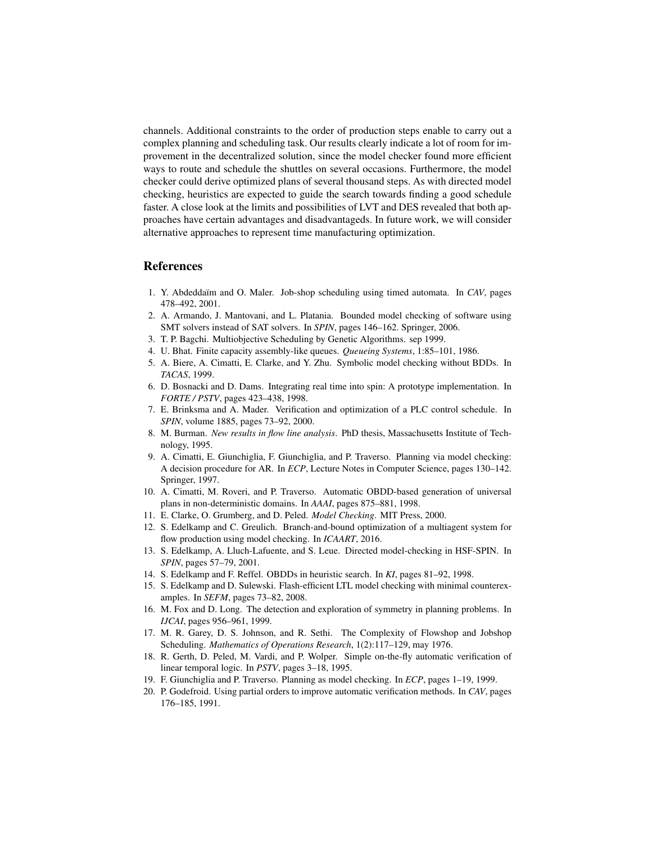channels. Additional constraints to the order of production steps enable to carry out a complex planning and scheduling task. Our results clearly indicate a lot of room for improvement in the decentralized solution, since the model checker found more efficient ways to route and schedule the shuttles on several occasions. Furthermore, the model checker could derive optimized plans of several thousand steps. As with directed model checking, heuristics are expected to guide the search towards finding a good schedule faster. A close look at the limits and possibilities of LVT and DES revealed that both approaches have certain advantages and disadvantageds. In future work, we will consider alternative approaches to represent time manufacturing optimization.

# **References**

- 1. Y. Abdeddaïm and O. Maler. Job-shop scheduling using timed automata. In CAV, pages 478–492, 2001.
- 2. A. Armando, J. Mantovani, and L. Platania. Bounded model checking of software using SMT solvers instead of SAT solvers. In *SPIN*, pages 146–162. Springer, 2006.
- 3. T. P. Bagchi. Multiobjective Scheduling by Genetic Algorithms. sep 1999.
- 4. U. Bhat. Finite capacity assembly-like queues. *Queueing Systems*, 1:85–101, 1986.
- 5. A. Biere, A. Cimatti, E. Clarke, and Y. Zhu. Symbolic model checking without BDDs. In *TACAS*, 1999.
- 6. D. Bosnacki and D. Dams. Integrating real time into spin: A prototype implementation. In *FORTE / PSTV*, pages 423–438, 1998.
- 7. E. Brinksma and A. Mader. Verification and optimization of a PLC control schedule. In *SPIN*, volume 1885, pages 73–92, 2000.
- 8. M. Burman. *New results in flow line analysis*. PhD thesis, Massachusetts Institute of Technology, 1995.
- 9. A. Cimatti, E. Giunchiglia, F. Giunchiglia, and P. Traverso. Planning via model checking: A decision procedure for AR. In *ECP*, Lecture Notes in Computer Science, pages 130–142. Springer, 1997.
- 10. A. Cimatti, M. Roveri, and P. Traverso. Automatic OBDD-based generation of universal plans in non-deterministic domains. In *AAAI*, pages 875–881, 1998.
- 11. E. Clarke, O. Grumberg, and D. Peled. *Model Checking*. MIT Press, 2000.
- 12. S. Edelkamp and C. Greulich. Branch-and-bound optimization of a multiagent system for flow production using model checking. In *ICAART*, 2016.
- 13. S. Edelkamp, A. Lluch-Lafuente, and S. Leue. Directed model-checking in HSF-SPIN. In *SPIN*, pages 57–79, 2001.
- 14. S. Edelkamp and F. Reffel. OBDDs in heuristic search. In *KI*, pages 81–92, 1998.
- 15. S. Edelkamp and D. Sulewski. Flash-efficient LTL model checking with minimal counterexamples. In *SEFM*, pages 73–82, 2008.
- 16. M. Fox and D. Long. The detection and exploration of symmetry in planning problems. In *IJCAI*, pages 956–961, 1999.
- 17. M. R. Garey, D. S. Johnson, and R. Sethi. The Complexity of Flowshop and Jobshop Scheduling. *Mathematics of Operations Research*, 1(2):117–129, may 1976.
- 18. R. Gerth, D. Peled, M. Vardi, and P. Wolper. Simple on-the-fly automatic verification of linear temporal logic. In *PSTV*, pages 3–18, 1995.
- 19. F. Giunchiglia and P. Traverso. Planning as model checking. In *ECP*, pages 1–19, 1999.
- 20. P. Godefroid. Using partial orders to improve automatic verification methods. In *CAV*, pages 176–185, 1991.